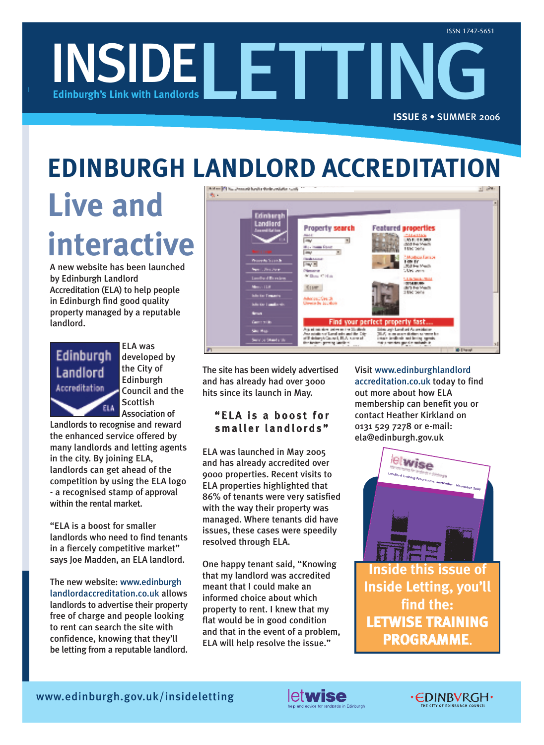

### **EDINBURGH LANDLORD ACCREDITATION**

# **Live and interactive**

A new website has been launched by Edinburgh Landlord Accreditation (ELA) to help people in Edinburgh find good quality property managed by a reputable landlord.



ELA was developed by the City of Edinburgh Council and the **Scottish** Association of

Landlords to recognise and reward the enhanced service offered by many landlords and letting agents in the city. By joining ELA, landlords can get ahead of the competition by using the ELA logo - a recognised stamp of approval within the rental market.

"ELA is a boost for smaller landlords who need to find tenants in a fiercely competitive market" says Joe Madden, an ELA landlord.

The new website: www.edinburgh landlordaccreditation.co.uk allows landlords to advertise their property free of charge and people looking to rent can search the site with confidence, knowing that they'll be letting from a reputable landlord.



The site has been widely advertised and has already had over 3000 hits since its launch in May.

### "ELA is a boost for smaller landlords"

ELA was launched in May 2005 and has already accredited over 9000 properties. Recent visits to ELA properties highlighted that 86% of tenants were very satisfied with the way their property was managed. Where tenants did have issues, these cases were speedily resolved through ELA.

One happy tenant said, "Knowing that my landlord was accredited meant that I could make an informed choice about which property to rent. I knew that my flat would be in good condition and that in the event of a problem, ELA will help resolve the issue."

Visit www.edinburghlandlord accreditation.co.uk today to find out more about how ELA membership can benefit you or contact Heather Kirkland on 0131 529 7278 or e-mail: ela@edinburgh.gov.uk



**Inside this issue of Inside Letting, you'll find the: LETWISE TRAINING PROGRAMME.**



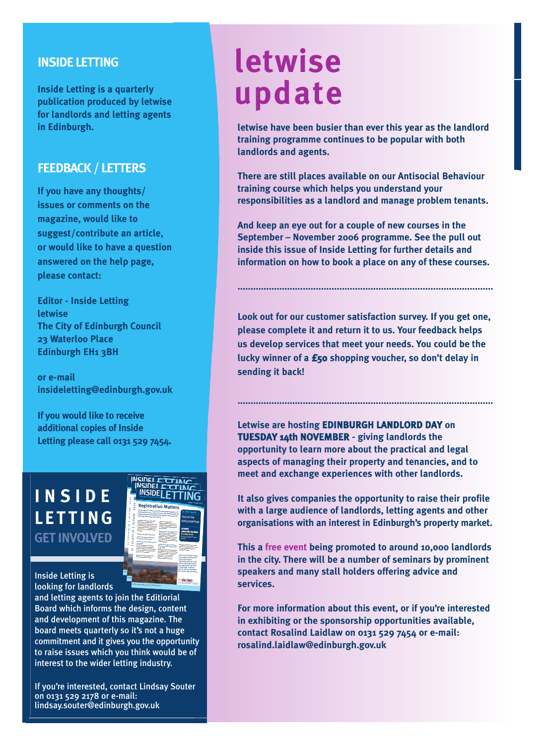### **INSIDE LETTING**

**Inside Letting is a quarterly publication produced by letwise for landlords and letting agents in Edinburgh.**

### **FEEDBACK / LETTERS**

**If you have any thoughts/ issues or comments on the magazine, would like to suggest/contribute an article, or would like to have a question answered on the help page, please contact:** 

**Editor - Inside Letting letwise The City of Edinburgh Council 23 Waterloo Place Edinburgh EH1 3BH**

**or e-mail insideletting@edinburgh.gov.uk**

**If you would like to receive additional copies of Inside Letting please call 0131 529 7454.**

### **INSIDE LETTING GET INVOLVED**



www.edinburgh.gov.uk/insideletting

Inside Letting is looking for landlords

and letting agents to join the Editiorial Board which informs the design, content and development of this magazine. The board meets quarterly so it's not a huge commitment and it gives you the opportunity to raise issues which you think would be of interest to the wider letting industry.

If you're interested, contact Lindsay Souter on 0131 529 2178 or e-mail: lindsay.souter@edinburgh.gov.uk

# **letwise update**

**letwise have been busier than ever this year as the landlord training programme continues to be popular with both landlords and agents.**

**There are still places available on our Antisocial Behaviour training course which helps you understand your responsibilities as a landlord and manage problem tenants.**

**And keep an eye out for a couple of new courses in the September – November 2006 programme. See the pull out inside this issue of Inside Letting for further details and information on how to book a place on any of these courses.** 

**..................................................................................................**

**Look out for our customer satisfaction survey. If you get one, please complete it and return it to us. Your feedback helps us develop services that meet your needs. You could be the lucky winner of a £50 shopping voucher, so don't delay in sending it back!**

**..................................................................................................**

**Letwise are hosting EDINBURGH LANDLORD DAY on TUESDAY 14th NOVEMBER - giving landlords the opportunity to learn more about the practical and legal aspects of managing their property and tenancies, and to meet and exchange experiences with other landlords.**

**It also gives companies the opportunity to raise their profile with a large audience of landlords, letting agents and other organisations with an interest in Edinburgh's property market.**

**This a free event being promoted to around 10,000 landlords in the city. There will be a number of seminars by prominent speakers and many stall holders offering advice and services.**

**For more information about this event, or if you're interested in exhibiting or the sponsorship opportunities available, contact Rosalind Laidlaw on 0131 529 7454 or e-mail: rosalind.laidlaw@edinburgh.gov.uk**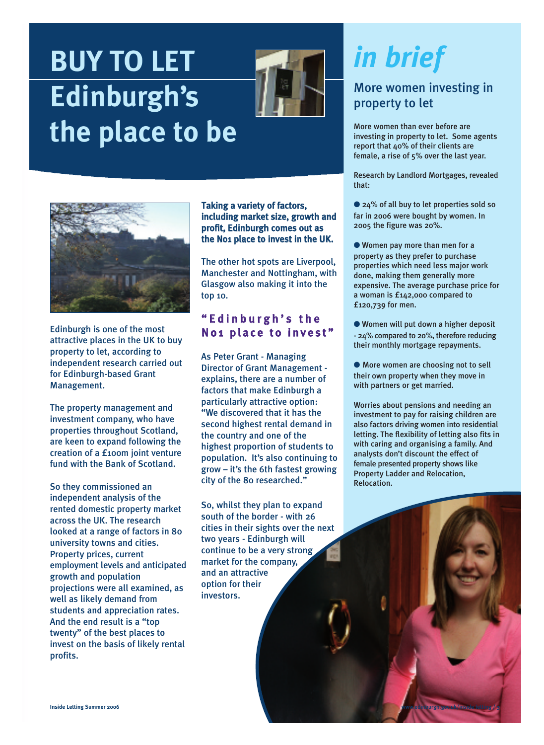# **BUY TO LET Edinburgh's the place to be**





Edinburgh is one of the most attractive places in the UK to buy property to let, according to independent research carried out for Edinburgh-based Grant Management.

The property management and investment company, who have properties throughout Scotland, are keen to expand following the creation of a £100m joint venture fund with the Bank of Scotland.

So they commissioned an independent analysis of the rented domestic property market across the UK. The research looked at a range of factors in 80 university towns and cities. Property prices, current employment levels and anticipated growth and population projections were all examined, as well as likely demand from students and appreciation rates. And the end result is a "top twenty" of the best places to invest on the basis of likely rental profits.

Taking a variety of factors, including market size, growth and profit, Edinburgh comes out as the No1 place to invest in the UK.

The other hot spots are Liverpool, Manchester and Nottingham, with Glasgow also making it into the top 10.

### " E d in b u r g h ' s th e No1 place to invest"

As Peter Grant - Managing Director of Grant Management explains, there are a number of factors that make Edinburgh a particularly attractive option: "We discovered that it has the second highest rental demand in the country and one of the highest proportion of students to population. It's also continuing to grow – it's the 6th fastest growing city of the 80 researched."

So, whilst they plan to expand south of the border - with 26 cities in their sights over the next two years - Edinburgh will continue to be a very strong market for the company, and an attractive option for their investors.

# *in brief*

### More women investing in property to let

More women than ever before are investing in property to let. Some agents report that 40% of their clients are female, a rise of 5% over the last year.

Research by Landlord Mortgages, revealed that:

● 24% of all buy to let properties sold so far in 2006 were bought by women. In 2005 the figure was 20%.

● Women pay more than men for a property as they prefer to purchase properties which need less major work done, making them generally more expensive. The average purchase price for a woman is £142,000 compared to £120,739 for men.

● Women will put down a higher deposit - 24% compared to 20%, therefore reducing their monthly mortgage repayments.

● More women are choosing not to sell their own property when they move in with partners or get married.

Worries about pensions and needing an investment to pay for raising children are also factors driving women into residential letting. The flexibility of letting also fits in with caring and organising a family. And analysts don't discount the effect of female presented property shows like Property Ladder and Relocation, Relocation.

www.edinburgh.gov.uk/inside letting **/ 3**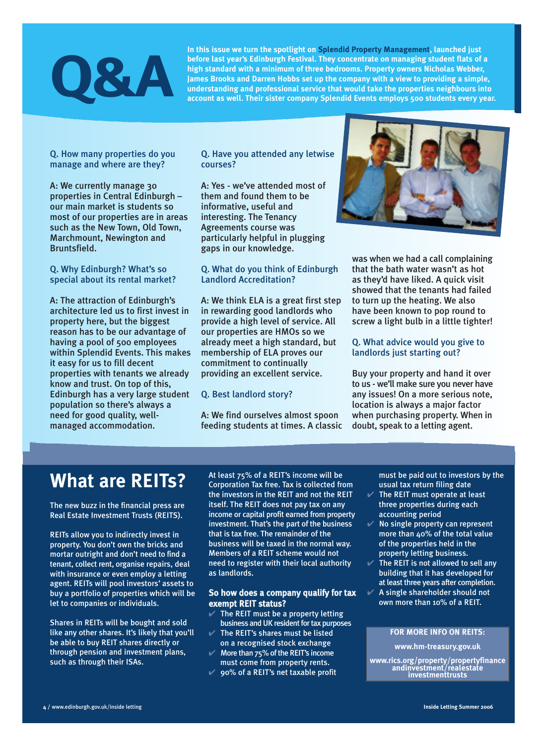# **Q&A**

**In this issue we turn the spotlight on Splendid Property Management, launched just before last year's Edinburgh Festival. They concentrate on managing student flats of a high standard with a minimum of three bedrooms. Property owners Nicholas Webber, James Brooks and Darren Hobbs set up the company with a view to providing a simple, understanding and professional service that would take the properties neighbours into account as well. Their sister company Splendid Events employs 500 students every year.** 

Q. How many properties do you manage and where are they?

A: We currently manage 30 properties in Central Edinburgh – our main market is students so most of our properties are in areas such as the New Town, Old Town, Marchmount, Newington and Bruntsfield.

Q. Why Edinburgh? What's so special about its rental market?

A: The attraction of Edinburgh's architecture led us to first invest in property here, but the biggest reason has to be our advantage of having a pool of 500 employees within Splendid Events. This makes it easy for us to fill decent properties with tenants we already know and trust. On top of this, Edinburgh has a very large student population so there's always a need for good quality, wellmanaged accommodation.

Q. Have you attended any letwise courses?

A: Yes - we've attended most of them and found them to be informative, useful and interesting. The Tenancy Agreements course was particularly helpful in plugging gaps in our knowledge.

Q. What do you think of Edinburgh Landlord Accreditation?

A: We think ELA is a great first step in rewarding good landlords who provide a high level of service. All our properties are HMOs so we already meet a high standard, but membership of ELA proves our commitment to continually providing an excellent service.

### Q. Best landlord story?

A: We find ourselves almost spoon feeding students at times. A classic



was when we had a call complaining that the bath water wasn't as hot as they'd have liked. A quick visit showed that the tenants had failed to turn up the heating. We also have been known to pop round to screw a light bulb in a little tighter!

#### Q. What advice would you give to landlords just starting out?

Buy your property and hand it over to us - we'll make sure you never have any issues! On a more serious note, location is always a major factor when purchasing property. When in doubt, speak to a letting agent.

### **What are REITs?**

The new buzz in the financial press are Real Estate Investment Trusts (REITS).

REITs allow you to indirectly invest in property. You don't own the bricks and mortar outright and don't need to find a tenant, collect rent, organise repairs, deal with insurance or even employ a letting agent. REITs will pool investors' assets to buy a portfolio of properties which will be let to companies or individuals.

Shares in REITs will be bought and sold like any other shares. It's likely that you'll be able to buy REIT shares directly or through pension and investment plans, such as through their ISAs.

At least 75% of a REIT's income will be Corporation Tax free. Tax is collected from the investors in the REIT and not the REIT itself. The REIT does not pay tax on any income or capital profit earned from property investment. That's the part of the business that is tax free. The remainder of the business will be taxed in the normal way. Members of a REIT scheme would not need to register with their local authority as landlords.

#### So how does a company qualify for tax exempt REIT status?

- $\vee$  The REIT must be a property letting business and UK resident for tax purposes
- $\vee$  The REIT's shares must be listed on a recognised stock exchange
- $\mathcal V$  More than 75% of the REIT's income
- must come from property rents.  $\vee$  90% of a REIT's net taxable profit

must be paid out to investors by the usual tax return filing date

- $V$  The REIT must operate at least three properties during each accounting period
- $\mathscr V$  No single property can represent more than  $40\%$  of the total value of the properties held in the property letting business.
- $V$  The REIT is not allowed to sell any building that it has developed for at least three years after completion.
- $\mathscr$  A single shareholder should not own more than 10% of a REIT.

#### **FOR MORE INFO ON REITS:**

**www.hm-treasury.gov.uk**

**www.rics.org/property/propertyfinance andinvestment/realestate investmenttrusts**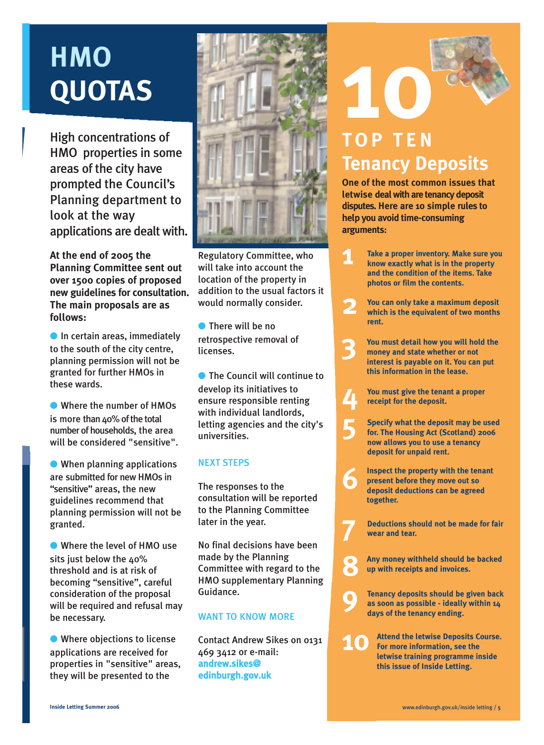# **HMO QUOTAS**

High concentrations of HMO properties in some areas of the city have prompted the Council's Planning department to look at the way applications are dealt with.

**At the end of 2005 the Planning Committee sent out over 1500 copies of proposed new guidelines for consultation. The main proposals are as follows:**

 $\bullet$  In certain areas, immediately to the south of the city centre, planning permission will not be granted for further HMOs in these wards.

● Where the number of HMOs is more than  $40\%$  of the total number of households, the area will be considered "sensitive".

● When planning applications are submitted for new HMOs in "sensitive" areas, the new guidelines recommend that planning permission will not be granted.

● Where the level of HMO use sits just below the 40% threshold and is at risk of becoming "sensitive", careful consideration of the proposal will be required and refusal may be necessary.

● Where objections to license applications are received for properties in "sensitive" areas, they will be presented to the



Regulatory Committee, who will take into account the location of the property in addition to the usual factors it would normally consider.

● There will be no retrospective removal of licenses.

● The Council will continue to develop its initiatives to ensure responsible renting with individual landlords, letting agencies and the city's universities.

### NEXT STEPS

The responses to the consultation will be reported to the Planning Committee later in the year.

No final decisions have been made by the Planning Committee with regard to the HMO supplementary Planning Guidance.

### WANT TO KNOW MORE

Contact Andrew Sikes on 0131 469 3412 or e-mail: andrew.sikes@ edinburgh.gov.uk

# **10 TOP TEN Tenancy Deposits**

**One of the most common issues that letwise deal with are tenancy deposit disputes. Here are 10 simple rules to help you avoid time-consuming arguments:** 

- **1 Take a proper inventory. Make sure you know exactly what is in the property and the condition of the items. Take photos or film the contents.**
- **2 You can only take a maximum deposit which is the equivalent of two months rent.**
- **3 You must detail how you will hold the money and state whether or not interest is payable on it. You can put this information in the lease.**
	- **You must give the tenant a proper receipt for the deposit.**

**4**

**7**

- **5 Specify what the deposit may be used for. The Housing Act (Scotland) 2006 now allows you to use a tenancy deposit for unpaid rent.**
- **6 Inspect the property with the tenant present before they move out so deposit deductions can be agreed together.**
	- **Deductions should not be made for fair wear and tear.**
- **8 Any money withheld should be backed up with receipts and invoices.**
- **9 Tenancy deposits should be given back as soon as possible - ideally within 14 days of the tenancy ending.**
- **10 Attend the letwise Deposits Course. For more information, see the letwise training programme inside this issue of Inside Letting.**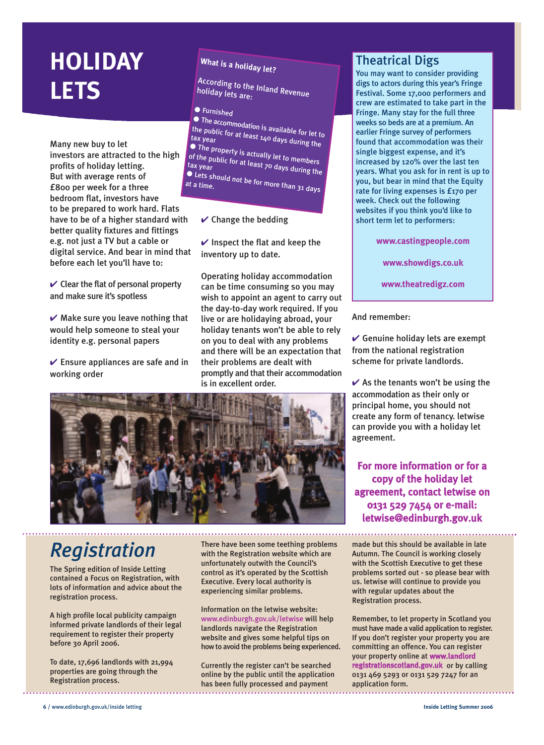### **HOLIDAY LETS**

Many new buy to let investors are attracted to the high profits of holiday letting. But with average rents of £800 per week for a three bedroom flat, investors have to be prepared to work hard. Flats have to be of a higher standard with better quality fixtures and fittings e.g. not just a TV but a cable or digital service. And bear in mind that before each let you'll have to:

 $\vee$  Clear the flat of personal property and make sure it's spotless

 $\vee$  Make sure you leave nothing that would help someone to steal your identity e.g. personal papers

 $\vee$  Ensure appliances are safe and in working order

### **What is a holiday let?**

According to the Inland Revenue holiday lets are:

### ● Furnished

● The accommodation is available for let to<br>the public for at least 140 d the public for at least 140 days during the<br>tax year<br>A The

● The property is actually let to members of the public for at least 70 days during the tax year

● Lets should not be for more than 31 days at a time.

### $\vee$  Change the bedding

 $\vee$  Inspect the flat and keep the inventory up to date.

Operating holiday accommodation can be time consuming so you may wish to appoint an agent to carry out the day-to-day work required. If you live or are holidaying abroad, your holiday tenants won't be able to rely on you to deal with any problems and there will be an expectation that their problems are dealt with promptly and that their accommodation is in excellent order.



### *Registration*

The Spring edition of Inside Letting contained a Focus on Registration, with lots of information and advice about the registration process.

A high profile local publicity campaign informed private landlords of their legal requirement to register their property before 30 April 2006.

To date, 17,696 landlords with 21,994 properties are going through the Registration process.

There have been some teething problems with the Registration website which are unfortunately outwith the Council's control as it's operated by the Scottish Executive. Every local authority is experiencing similar problems.

Information on the letwise website: www.edinburgh.gov.uk/letwise will help landlords navigate the Registration website and gives some helpful tips on how to avoid the problems being experienced.

Currently the register can't be searched online by the public until the application has been fully processed and payment

### Theatrical Digs

You may want to consider providing digs to actors during this year's Fringe Festival. Some 17,000 performers and crew are estimated to take part in the Fringe. Many stay for the full three weeks so beds are at a premium. An earlier Fringe survey of performers found that accommodation was their single biggest expense, and it's increased by 120% over the last ten years. What you ask for in rent is up to you, but bear in mind that the Equity rate for living expenses is £170 per week. Check out the following websites if you think you'd like to short term let to performers:

**www.castingpeople.com**

**www.showdigs.co.uk**

**www.theatredigz.com**

And remember:

 $\vee$  Genuine holiday lets are exempt from the national registration scheme for private landlords.

 $\vee$  As the tenants won't be using the accommodation as their only or principal home, you should not create any form of tenancy. letwise can provide you with a holiday let agreement.

For more information or for a copy of the holiday let agreement, contact letwise on 0131 529 7454 or e-mail: letwise@edinburgh.gov.uk

made but this should be available in late Autumn. The Council is working closely with the Scottish Executive to get these problems sorted out - so please bear with us. letwise will continue to provide you with regular updates about the Registration process.

Remember, to let property in Scotland you must have made a valid application to register. If you don't register your property you are committing an offence. You can register your property online at www.landlord registrationscotland.gov.uk or by calling 0131 469 5293 or 0131 529 7247 for an application form.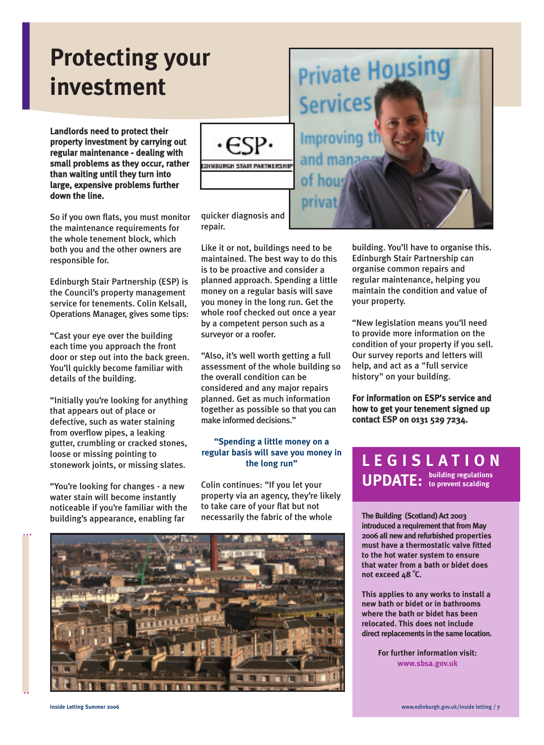### **Protecting your investment**

Landlords need to protect their property investment by carrying out regular maintenance - dealing with small problems as they occur, rather than waiting until they turn into large, expensive problems further down the line.

So if you own flats, you must monitor the maintenance requirements for the whole tenement block, which both you and the other owners are responsible for.

Edinburgh Stair Partnership (ESP) is the Council's property management service for tenements. Colin Kelsall, Operations Manager, gives some tips:

"Cast your eye over the building each time you approach the front door or step out into the back green. You'll quickly become familiar with details of the building.

"Initially you're looking for anything that appears out of place or defective, such as water staining from overflow pipes, a leaking gutter, crumbling or cracked stones, loose or missing pointing to stonework joints, or missing slates.

"You're looking for changes - a new water stain will become instantly noticeable if you're familiar with the building's appearance, enabling far



**CONSURGH STAIR PARTNERSHIP** 

quicker diagnosis and repair.

Like it or not, buildings need to be maintained. The best way to do this is to be proactive and consider a planned approach. Spending a little money on a regular basis will save you money in the long run. Get the whole roof checked out once a year by a competent person such as a surveyor or a roofer.

"Also, it's well worth getting a full assessment of the whole building so the overall condition can be considered and any major repairs planned. Get as much information together as possible so that you can make informed decisions."

### **"Spending a little money on a regular basis will save you money in the long run"**

Colin continues: "If you let your property via an agency, they're likely to take care of your flat but not necessarily the fabric of the whole





building. You'll have to organise this. Edinburgh Stair Partnership can organise common repairs and regular maintenance, helping you maintain the condition and value of your property.

"New legislation means you'll need to provide more information on the condition of your property if you sell. Our survey reports and letters will help, and act as a "full service history" on your building.

For information on ESP's service and how to get your tenement signed up contact ESP on 0131 529 7234.

### **LEGISLATION UPDATE: building regulations to prevent scalding**

**The Building (Scotland) Act 2003 introduced a requirement that from May 2006 all new and refurbished properties must have a thermostatic valve fitted to the hot water system to ensure that water from a bath or bidet does** not exceed 48 °C.

**This applies to any works to install a new bath or bidet or in bathrooms where the bath or bidet has been relocated. This does not include direct replacements in the same location.**

> **For further information visit: www.sbsa.gov.uk**